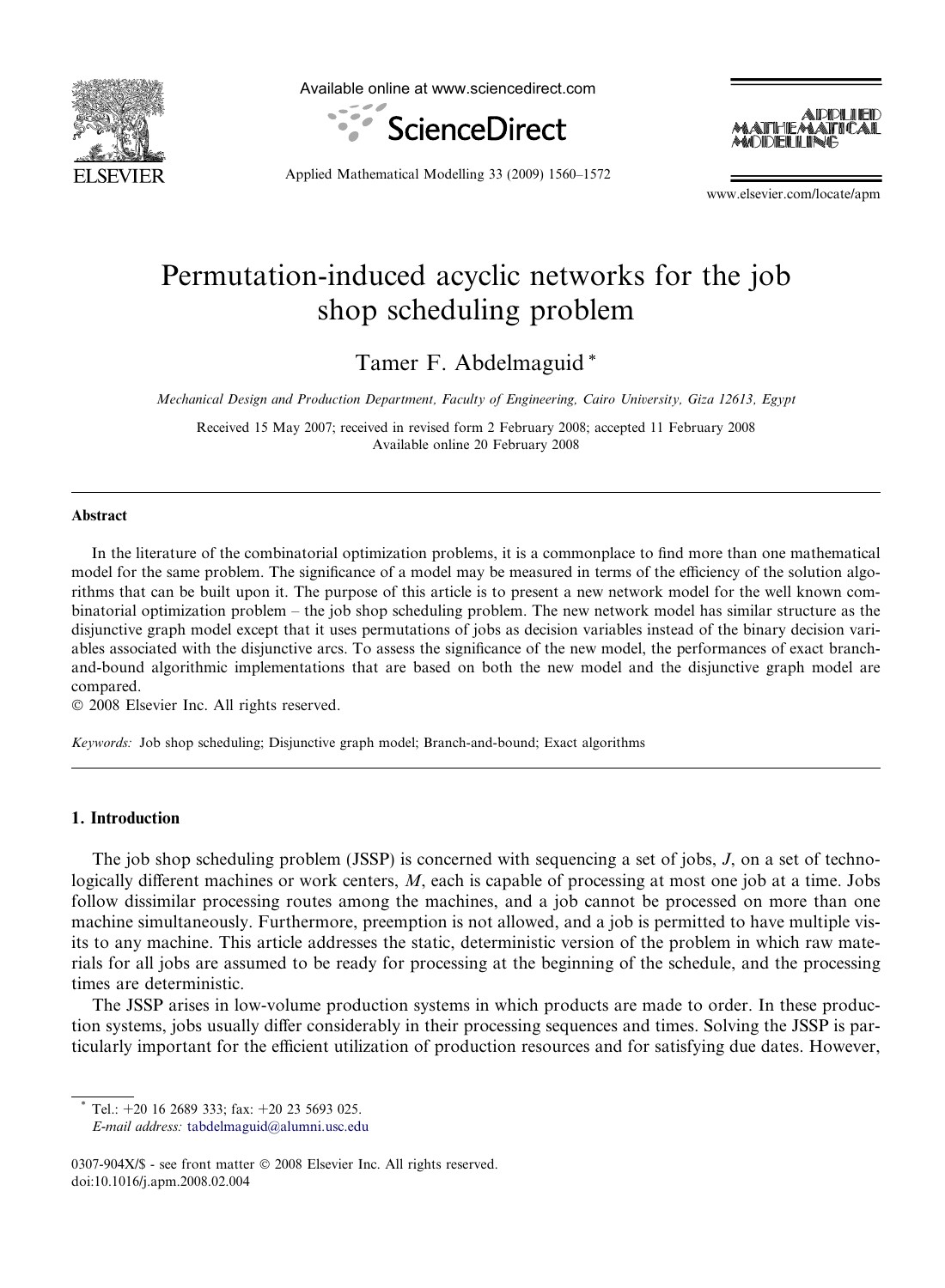

Available online at www.sciencedirect.com





Applied Mathematical Modelling 33 (2009) 1560–1572

www.elsevier.com/locate/apm

## Permutation-induced acyclic networks for the job shop scheduling problem

Tamer F. Abdelmaguid \*

Mechanical Design and Production Department, Faculty of Engineering, Cairo University, Giza 12613, Egypt

Received 15 May 2007; received in revised form 2 February 2008; accepted 11 February 2008 Available online 20 February 2008

### Abstract

In the literature of the combinatorial optimization problems, it is a commonplace to find more than one mathematical model for the same problem. The significance of a model may be measured in terms of the efficiency of the solution algorithms that can be built upon it. The purpose of this article is to present a new network model for the well known combinatorial optimization problem – the job shop scheduling problem. The new network model has similar structure as the disjunctive graph model except that it uses permutations of jobs as decision variables instead of the binary decision variables associated with the disjunctive arcs. To assess the significance of the new model, the performances of exact branchand-bound algorithmic implementations that are based on both the new model and the disjunctive graph model are compared.

© 2008 Elsevier Inc. All rights reserved.

Keywords: Job shop scheduling; Disjunctive graph model; Branch-and-bound; Exact algorithms

## 1. Introduction

The job shop scheduling problem (JSSP) is concerned with sequencing a set of jobs, J, on a set of technologically different machines or work centers, M, each is capable of processing at most one job at a time. Jobs follow dissimilar processing routes among the machines, and a job cannot be processed on more than one machine simultaneously. Furthermore, preemption is not allowed, and a job is permitted to have multiple visits to any machine. This article addresses the static, deterministic version of the problem in which raw materials for all jobs are assumed to be ready for processing at the beginning of the schedule, and the processing times are deterministic.

The JSSP arises in low-volume production systems in which products are made to order. In these production systems, jobs usually differ considerably in their processing sequences and times. Solving the JSSP is particularly important for the efficient utilization of production resources and for satisfying due dates. However,

Tel.:  $+20$  16 2689 333; fax:  $+20$  23 5693 025.

E-mail address: [tabdelmaguid@alumni.usc.edu](mailto:tabdelmaguid@alumni.usc.edu)

<sup>0307-904</sup>X/\$ - see front matter © 2008 Elsevier Inc. All rights reserved. doi:10.1016/j.apm.2008.02.004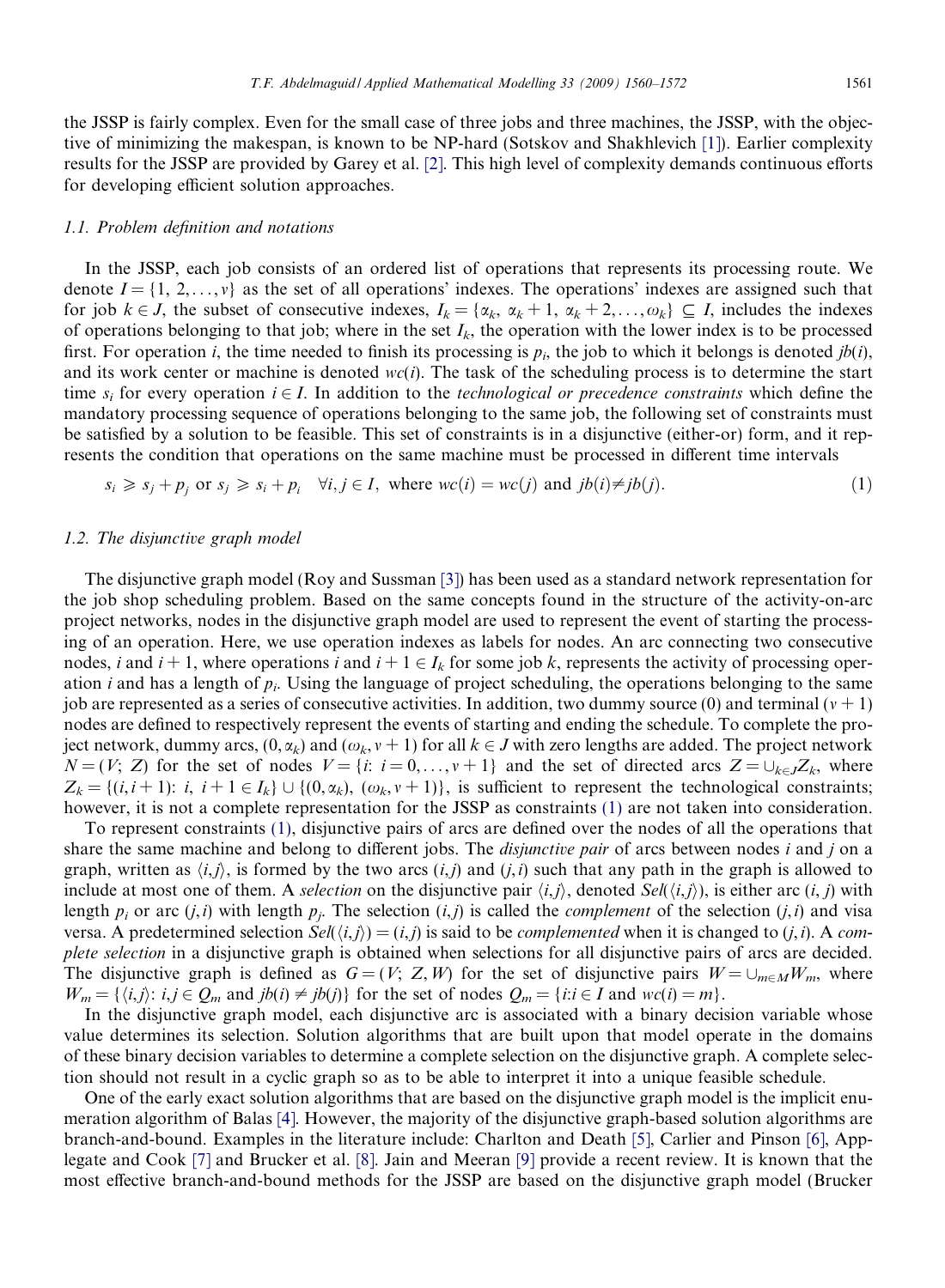the JSSP is fairly complex. Even for the small case of three jobs and three machines, the JSSP, with the objective of minimizing the makespan, is known to be NP-hard (Sotskov and Shakhlevich [\[1\]](#page--1-0)). Earlier complexity results for the JSSP are provided by Garey et al. [\[2\]](#page--1-0). This high level of complexity demands continuous efforts for developing efficient solution approaches.

#### 1.1. Problem definition and notations

In the JSSP, each job consists of an ordered list of operations that represents its processing route. We denote  $I = \{1, 2, \ldots, v\}$  as the set of all operations' indexes. The operations' indexes are assigned such that for job  $k \in J$ , the subset of consecutive indexes,  $I_k = \{x_k, x_k + 1, x_k + 2, \ldots, x_k\} \subseteq I$ , includes the indexes of operations belonging to that job; where in the set  $I_k$ , the operation with the lower index is to be processed first. For operation i, the time needed to finish its processing is  $p_i$ , the job to which it belongs is denoted jb(i), and its work center or machine is denoted  $wc(i)$ . The task of the scheduling process is to determine the start time  $s_i$  for every operation  $i \in I$ . In addition to the *technological or precedence constraints* which define the mandatory processing sequence of operations belonging to the same job, the following set of constraints must be satisfied by a solution to be feasible. This set of constraints is in a disjunctive (either-or) form, and it represents the condition that operations on the same machine must be processed in different time intervals

$$
s_i \geq s_j + p_j \text{ or } s_j \geq s_i + p_i \quad \forall i, j \in I, \text{ where } wc(i) = wc(j) \text{ and } jb(i) \neq jb(j).
$$
 (1)

## 1.2. The disjunctive graph model

The disjunctive graph model (Roy and Sussman [\[3\]](#page--1-0)) has been used as a standard network representation for the job shop scheduling problem. Based on the same concepts found in the structure of the activity-on-arc project networks, nodes in the disjunctive graph model are used to represent the event of starting the processing of an operation. Here, we use operation indexes as labels for nodes. An arc connecting two consecutive nodes, i and  $i + 1$ , where operations i and  $i + 1 \in I_k$  for some job k, represents the activity of processing operation *i* and has a length of  $p_i$ . Using the language of project scheduling, the operations belonging to the same job are represented as a series of consecutive activities. In addition, two dummy source (0) and terminal ( $v + 1$ ) nodes are defined to respectively represent the events of starting and ending the schedule. To complete the project network, dummy arcs,  $(0, \alpha_k)$  and  $(\omega_k, v + 1)$  for all  $k \in J$  with zero lengths are added. The project network  $N = (V; Z)$  for the set of nodes  $V = \{i: i = 0, \ldots, v + 1\}$  and the set of directed arcs  $Z = \bigcup_{k \in J} Z_k$ , where  $Z_k = \{(i, i+1): i, i+1 \in I_k\} \cup \{(0, \alpha_k), (\omega_k, v+1)\}\$ , is sufficient to represent the technological constraints; however, it is not a complete representation for the JSSP as constraints (1) are not taken into consideration.

To represent constraints (1), disjunctive pairs of arcs are defined over the nodes of all the operations that share the same machine and belong to different jobs. The *disjunctive pair* of arcs between nodes i and j on a graph, written as  $\langle i,j \rangle$ , is formed by the two arcs  $(i,j)$  and  $(j,i)$  such that any path in the graph is allowed to include at most one of them. A selection on the disjunctive pair  $\langle i,j \rangle$ , denoted Sel( $\langle i,j \rangle$ ), is either arc  $(i, j)$  with length  $p_i$  or arc  $(j,i)$  with length  $p_j$ . The selection  $(i,j)$  is called the *complement* of the selection  $(j,i)$  and visa versa. A predetermined selection  $Sel(\langle i,j \rangle) = (i,j)$  is said to be *complemented* when it is changed to (*j*,*i*). A *com*plete selection in a disjunctive graph is obtained when selections for all disjunctive pairs of arcs are decided. The disjunctive graph is defined as  $G = (V; Z, W)$  for the set of disjunctive pairs  $W = \bigcup_{m \in M} W_m$ , where  $W_m = \{(i,j): i,j \in Q_m \text{ and } jb(i) \neq jb(j)\}\$ for the set of nodes  $Q_m = \{i:i \in I \text{ and } wc(i) = m\}.$ 

In the disjunctive graph model, each disjunctive arc is associated with a binary decision variable whose value determines its selection. Solution algorithms that are built upon that model operate in the domains of these binary decision variables to determine a complete selection on the disjunctive graph. A complete selection should not result in a cyclic graph so as to be able to interpret it into a unique feasible schedule.

One of the early exact solution algorithms that are based on the disjunctive graph model is the implicit enumeration algorithm of Balas [\[4\]](#page--1-0). However, the majority of the disjunctive graph-based solution algorithms are branch-and-bound. Examples in the literature include: Charlton and Death [\[5\],](#page--1-0) Carlier and Pinson [\[6\]](#page--1-0), Applegate and Cook [\[7\]](#page--1-0) and Brucker et al. [\[8\].](#page--1-0) Jain and Meeran [\[9\]](#page--1-0) provide a recent review. It is known that the most effective branch-and-bound methods for the JSSP are based on the disjunctive graph model (Brucker